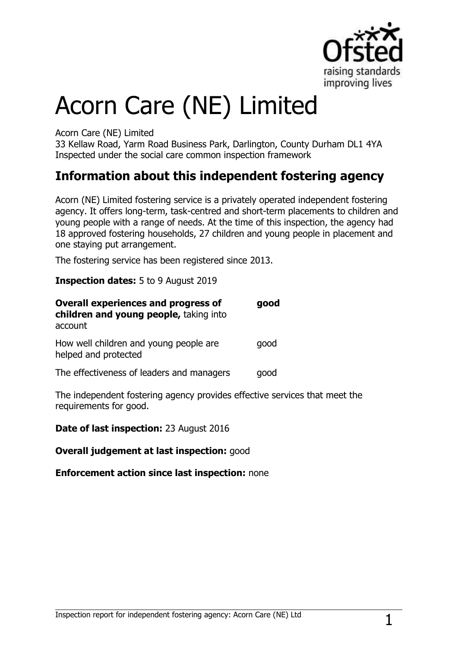

# Acorn Care (NE) Limited

Acorn Care (NE) Limited

33 Kellaw Road, Yarm Road Business Park, Darlington, County Durham DL1 4YA Inspected under the social care common inspection framework

# **Information about this independent fostering agency**

Acorn (NE) Limited fostering service is a privately operated independent fostering agency. It offers long-term, task-centred and short-term placements to children and young people with a range of needs. At the time of this inspection, the agency had 18 approved fostering households, 27 children and young people in placement and one staying put arrangement.

The fostering service has been registered since 2013.

**Inspection dates:** 5 to 9 August 2019

| <b>Overall experiences and progress of</b><br>children and young people, taking into<br>account | good |
|-------------------------------------------------------------------------------------------------|------|
| How well children and young people are<br>helped and protected                                  | qood |
| The effectiveness of leaders and managers                                                       | qood |

The independent fostering agency provides effective services that meet the requirements for good.

**Date of last inspection:** 23 August 2016

**Overall judgement at last inspection:** good

## **Enforcement action since last inspection:** none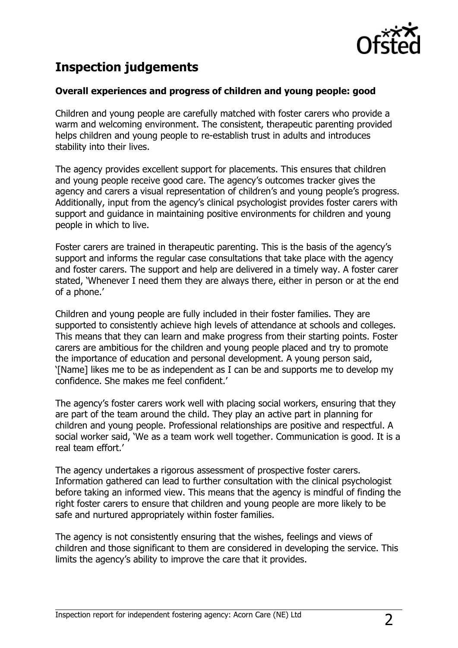

# **Inspection judgements**

## **Overall experiences and progress of children and young people: good**

Children and young people are carefully matched with foster carers who provide a warm and welcoming environment. The consistent, therapeutic parenting provided helps children and young people to re-establish trust in adults and introduces stability into their lives.

The agency provides excellent support for placements. This ensures that children and young people receive good care. The agency's outcomes tracker gives the agency and carers a visual representation of children's and young people's progress. Additionally, input from the agency's clinical psychologist provides foster carers with support and guidance in maintaining positive environments for children and young people in which to live.

Foster carers are trained in therapeutic parenting. This is the basis of the agency's support and informs the regular case consultations that take place with the agency and foster carers. The support and help are delivered in a timely way. A foster carer stated, 'Whenever I need them they are always there, either in person or at the end of a phone.'

Children and young people are fully included in their foster families. They are supported to consistently achieve high levels of attendance at schools and colleges. This means that they can learn and make progress from their starting points. Foster carers are ambitious for the children and young people placed and try to promote the importance of education and personal development. A young person said, '[Name] likes me to be as independent as I can be and supports me to develop my confidence. She makes me feel confident.'

The agency's foster carers work well with placing social workers, ensuring that they are part of the team around the child. They play an active part in planning for children and young people. Professional relationships are positive and respectful. A social worker said, 'We as a team work well together. Communication is good. It is a real team effort.'

The agency undertakes a rigorous assessment of prospective foster carers. Information gathered can lead to further consultation with the clinical psychologist before taking an informed view. This means that the agency is mindful of finding the right foster carers to ensure that children and young people are more likely to be safe and nurtured appropriately within foster families.

The agency is not consistently ensuring that the wishes, feelings and views of children and those significant to them are considered in developing the service. This limits the agency's ability to improve the care that it provides.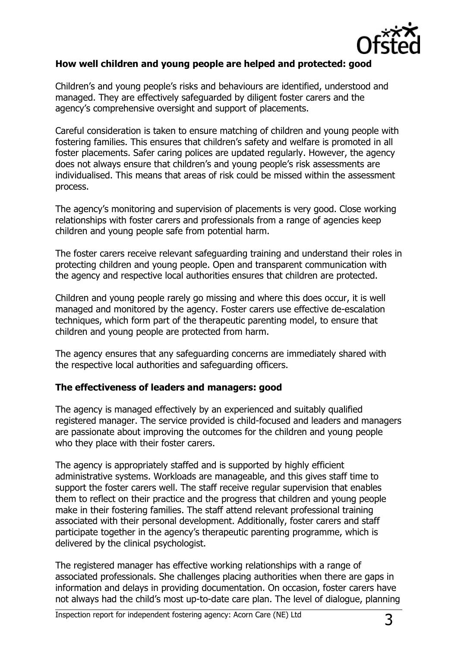

## **How well children and young people are helped and protected: good**

Children's and young people's risks and behaviours are identified, understood and managed. They are effectively safeguarded by diligent foster carers and the agency's comprehensive oversight and support of placements.

Careful consideration is taken to ensure matching of children and young people with fostering families. This ensures that children's safety and welfare is promoted in all foster placements. Safer caring polices are updated regularly. However, the agency does not always ensure that children's and young people's risk assessments are individualised. This means that areas of risk could be missed within the assessment process.

The agency's monitoring and supervision of placements is very good. Close working relationships with foster carers and professionals from a range of agencies keep children and young people safe from potential harm.

The foster carers receive relevant safeguarding training and understand their roles in protecting children and young people. Open and transparent communication with the agency and respective local authorities ensures that children are protected.

Children and young people rarely go missing and where this does occur, it is well managed and monitored by the agency. Foster carers use effective de-escalation techniques, which form part of the therapeutic parenting model, to ensure that children and young people are protected from harm.

The agency ensures that any safeguarding concerns are immediately shared with the respective local authorities and safeguarding officers.

## **The effectiveness of leaders and managers: good**

The agency is managed effectively by an experienced and suitably qualified registered manager. The service provided is child-focused and leaders and managers are passionate about improving the outcomes for the children and young people who they place with their foster carers.

The agency is appropriately staffed and is supported by highly efficient administrative systems. Workloads are manageable, and this gives staff time to support the foster carers well. The staff receive regular supervision that enables them to reflect on their practice and the progress that children and young people make in their fostering families. The staff attend relevant professional training associated with their personal development. Additionally, foster carers and staff participate together in the agency's therapeutic parenting programme, which is delivered by the clinical psychologist.

The registered manager has effective working relationships with a range of associated professionals. She challenges placing authorities when there are gaps in information and delays in providing documentation. On occasion, foster carers have not always had the child's most up-to-date care plan. The level of dialogue, planning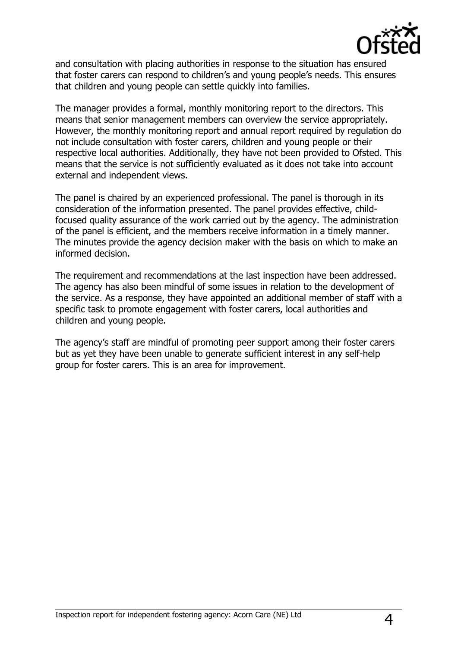

and consultation with placing authorities in response to the situation has ensured that foster carers can respond to children's and young people's needs. This ensures that children and young people can settle quickly into families.

The manager provides a formal, monthly monitoring report to the directors. This means that senior management members can overview the service appropriately. However, the monthly monitoring report and annual report required by regulation do not include consultation with foster carers, children and young people or their respective local authorities. Additionally, they have not been provided to Ofsted. This means that the service is not sufficiently evaluated as it does not take into account external and independent views.

The panel is chaired by an experienced professional. The panel is thorough in its consideration of the information presented. The panel provides effective, childfocused quality assurance of the work carried out by the agency. The administration of the panel is efficient, and the members receive information in a timely manner. The minutes provide the agency decision maker with the basis on which to make an informed decision.

The requirement and recommendations at the last inspection have been addressed. The agency has also been mindful of some issues in relation to the development of the service. As a response, they have appointed an additional member of staff with a specific task to promote engagement with foster carers, local authorities and children and young people.

The agency's staff are mindful of promoting peer support among their foster carers but as yet they have been unable to generate sufficient interest in any self-help group for foster carers. This is an area for improvement.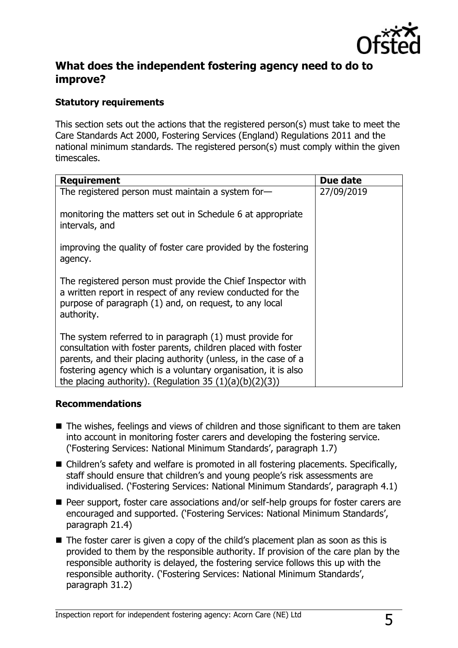

## **What does the independent fostering agency need to do to improve?**

## **Statutory requirements**

This section sets out the actions that the registered person(s) must take to meet the Care Standards Act 2000, Fostering Services (England) Regulations 2011 and the national minimum standards. The registered person(s) must comply within the given timescales.

| <b>Requirement</b>                                                                                                                                                                                                                                                                                                          | Due date   |
|-----------------------------------------------------------------------------------------------------------------------------------------------------------------------------------------------------------------------------------------------------------------------------------------------------------------------------|------------|
| The registered person must maintain a system for-                                                                                                                                                                                                                                                                           | 27/09/2019 |
| monitoring the matters set out in Schedule 6 at appropriate<br>intervals, and                                                                                                                                                                                                                                               |            |
| improving the quality of foster care provided by the fostering<br>agency.                                                                                                                                                                                                                                                   |            |
| The registered person must provide the Chief Inspector with<br>a written report in respect of any review conducted for the<br>purpose of paragraph (1) and, on request, to any local<br>authority.                                                                                                                          |            |
| The system referred to in paragraph (1) must provide for<br>consultation with foster parents, children placed with foster<br>parents, and their placing authority (unless, in the case of a<br>fostering agency which is a voluntary organisation, it is also<br>the placing authority). (Regulation 35 $(1)(a)(b)(2)(3)$ ) |            |

## **Recommendations**

- The wishes, feelings and views of children and those significant to them are taken into account in monitoring foster carers and developing the fostering service. ('Fostering Services: National Minimum Standards', paragraph 1.7)
- Children's safety and welfare is promoted in all fostering placements. Specifically, staff should ensure that children's and young people's risk assessments are individualised. ('Fostering Services: National Minimum Standards', paragraph 4.1)
- Peer support, foster care associations and/or self-help groups for foster carers are encouraged and supported. ('Fostering Services: National Minimum Standards', paragraph 21.4)
- The foster carer is given a copy of the child's placement plan as soon as this is provided to them by the responsible authority. If provision of the care plan by the responsible authority is delayed, the fostering service follows this up with the responsible authority. ('Fostering Services: National Minimum Standards', paragraph 31.2)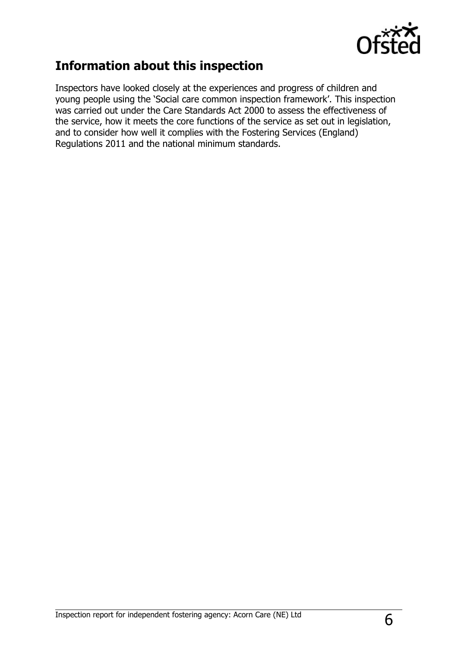

# **Information about this inspection**

Inspectors have looked closely at the experiences and progress of children and young people using the 'Social care common inspection framework'. This inspection was carried out under the Care Standards Act 2000 to assess the effectiveness of the service, how it meets the core functions of the service as set out in legislation, and to consider how well it complies with the Fostering Services (England) Regulations 2011 and the national minimum standards.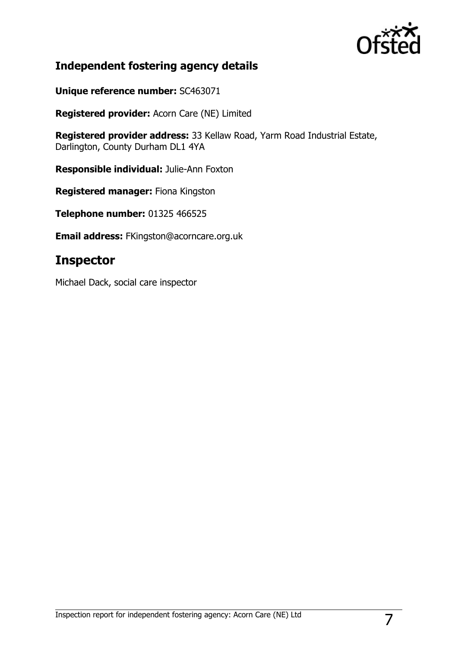

## **Independent fostering agency details**

**Unique reference number:** SC463071

**Registered provider:** Acorn Care (NE) Limited

**Registered provider address:** 33 Kellaw Road, Yarm Road Industrial Estate, Darlington, County Durham DL1 4YA

**Responsible individual:** Julie-Ann Foxton

**Registered manager:** Fiona Kingston

**Telephone number:** 01325 466525

**Email address:** FKingston@acorncare.org.uk

## **Inspector**

Michael Dack, social care inspector